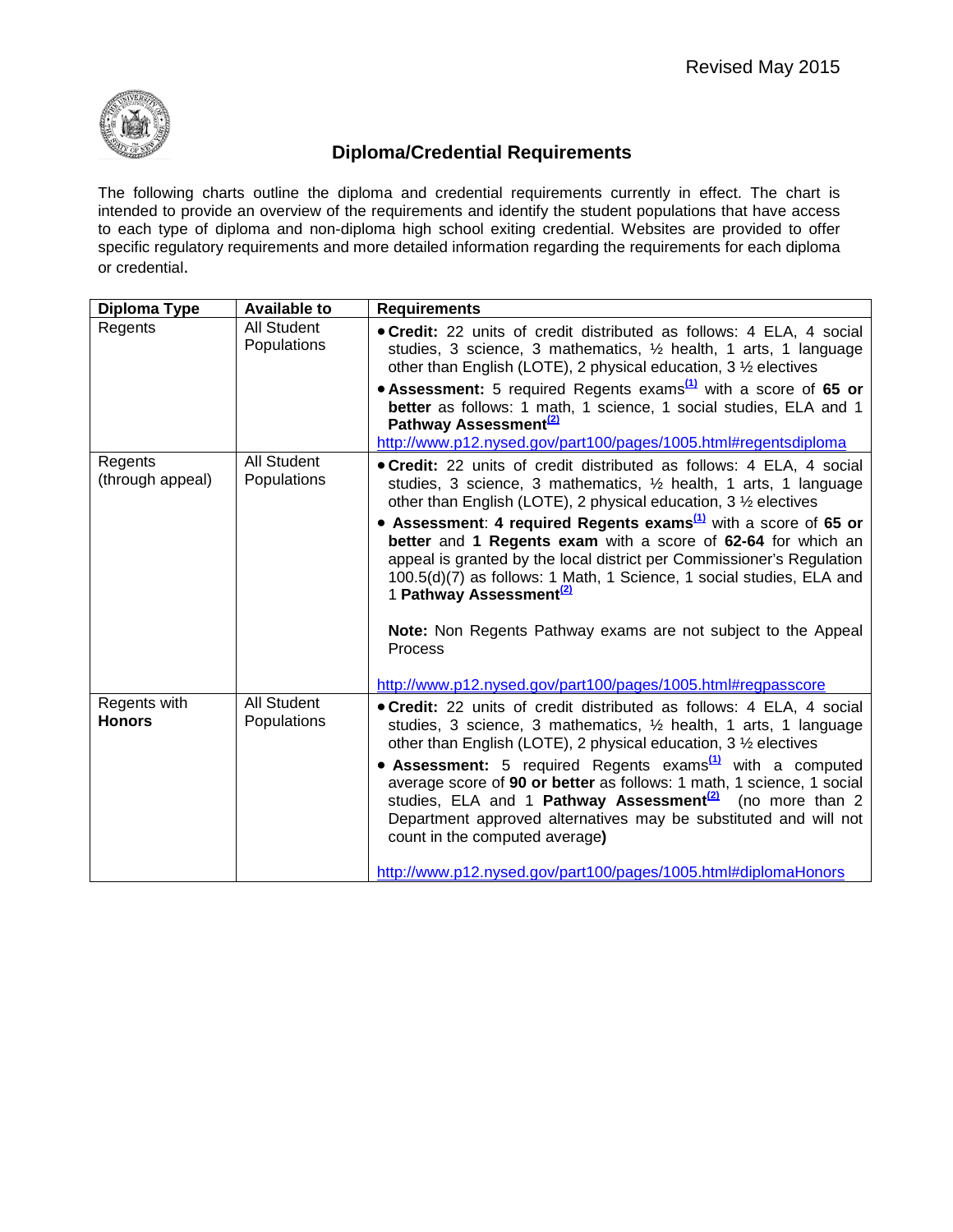

## **Diploma/Credential Requirements**

The following charts outline the diploma and credential requirements currently in effect. The chart is intended to provide an overview of the requirements and identify the student populations that have access to each type of diploma and non-diploma high school exiting credential. Websites are provided to offer specific regulatory requirements and more detailed information regarding the requirements for each diploma or credential.

| Diploma Type                  | <b>Available to</b>        | <b>Requirements</b>                                                                                                                                                                                                                                                                                                                                                                                                                                                                                                                           |
|-------------------------------|----------------------------|-----------------------------------------------------------------------------------------------------------------------------------------------------------------------------------------------------------------------------------------------------------------------------------------------------------------------------------------------------------------------------------------------------------------------------------------------------------------------------------------------------------------------------------------------|
| Regents                       | All Student<br>Populations | . Credit: 22 units of credit distributed as follows: 4 ELA, 4 social<br>studies, 3 science, 3 mathematics, 1/2 health, 1 arts, 1 language<br>other than English (LOTE), 2 physical education, 3 1/2 electives                                                                                                                                                                                                                                                                                                                                 |
|                               |                            | • Assessment: 5 required Regents exams $\frac{1}{2}$ with a score of 65 or<br>better as follows: 1 math, 1 science, 1 social studies, ELA and 1<br>Pathway Assessment <sup>(2)</sup>                                                                                                                                                                                                                                                                                                                                                          |
|                               |                            | http://www.p12.nysed.gov/part100/pages/1005.html#regentsdiploma                                                                                                                                                                                                                                                                                                                                                                                                                                                                               |
| Regents<br>(through appeal)   | All Student<br>Populations | . Credit: 22 units of credit distributed as follows: 4 ELA, 4 social<br>studies, 3 science, 3 mathematics, 1/2 health, 1 arts, 1 language<br>other than English (LOTE), 2 physical education, 3 1/2 electives                                                                                                                                                                                                                                                                                                                                 |
|                               |                            | • Assessment: 4 required Regents exams $\frac{(1)}{(1)}$ with a score of 65 or<br>better and 1 Regents exam with a score of 62-64 for which an<br>appeal is granted by the local district per Commissioner's Regulation<br>100.5(d)(7) as follows: 1 Math, 1 Science, 1 social studies, ELA and<br>1 Pathway Assessment <sup>(2)</sup>                                                                                                                                                                                                        |
|                               |                            | Note: Non Regents Pathway exams are not subject to the Appeal<br>Process                                                                                                                                                                                                                                                                                                                                                                                                                                                                      |
|                               |                            | http://www.p12.nysed.gov/part100/pages/1005.html#regpasscore                                                                                                                                                                                                                                                                                                                                                                                                                                                                                  |
| Regents with<br><b>Honors</b> | All Student<br>Populations | • Credit: 22 units of credit distributed as follows: 4 ELA, 4 social<br>studies, 3 science, 3 mathematics, 1/2 health, 1 arts, 1 language<br>other than English (LOTE), 2 physical education, 3 1/2 electives<br>• Assessment: 5 required Regents exams <sup>(1)</sup> with a computed<br>average score of 90 or better as follows: 1 math, 1 science, 1 social<br>studies, ELA and 1 Pathway Assessment <sup>(2)</sup> (no more than 2<br>Department approved alternatives may be substituted and will not<br>count in the computed average) |
|                               |                            | http://www.p12.nysed.gov/part100/pages/1005.html#diplomaHonors                                                                                                                                                                                                                                                                                                                                                                                                                                                                                |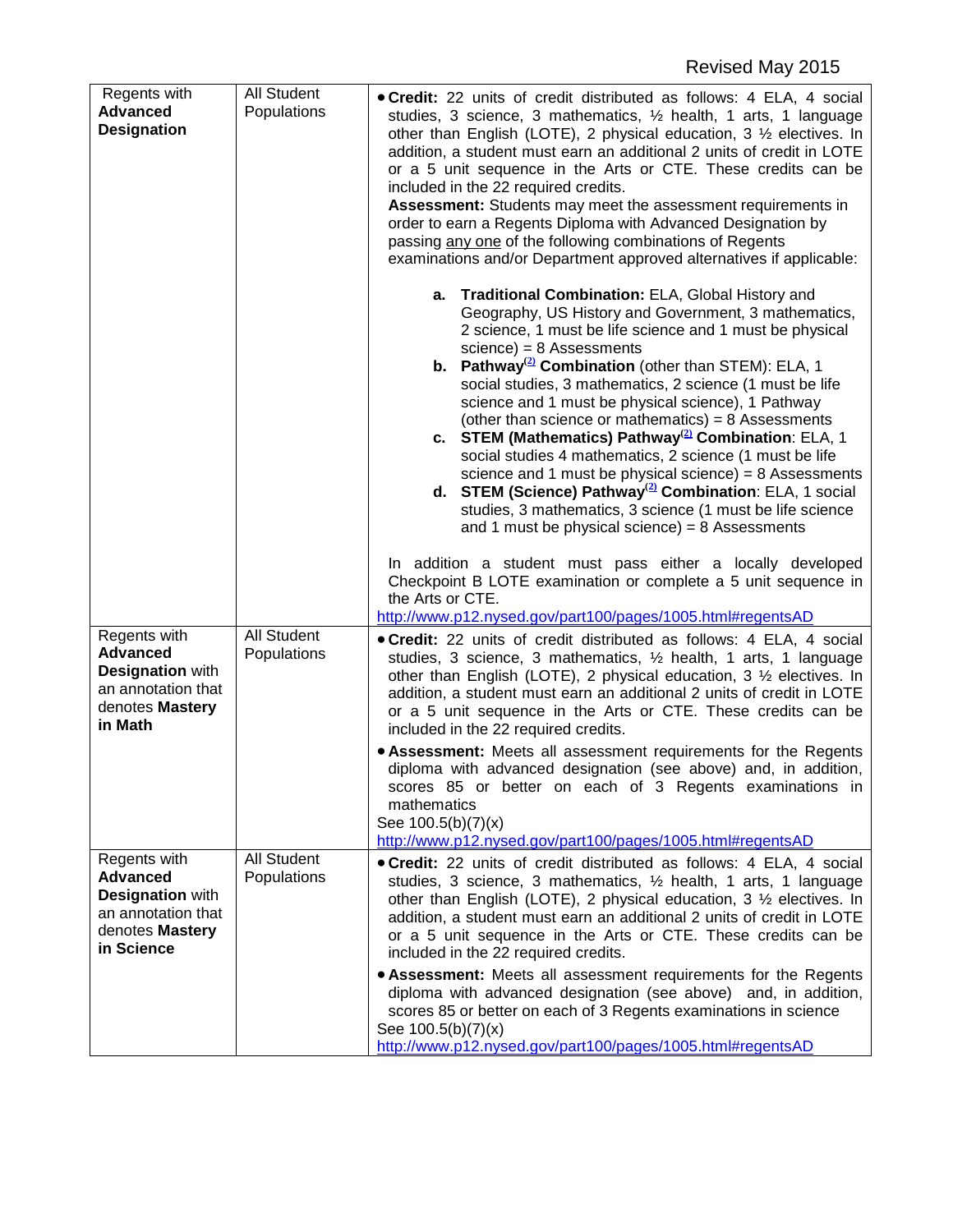| Regents with                                                                                                      | <b>All Student</b>         | . Credit: 22 units of credit distributed as follows: 4 ELA, 4 social                                                                                                                                                                                                                                                                                                                                                                                                                                                                                                                                                                                                                                                                                                                                                                                                                                                                                                                                                                                                                                                                                                                                                                                                                                                                                                                                                                                                                                                                                                                                                                                                         |
|-------------------------------------------------------------------------------------------------------------------|----------------------------|------------------------------------------------------------------------------------------------------------------------------------------------------------------------------------------------------------------------------------------------------------------------------------------------------------------------------------------------------------------------------------------------------------------------------------------------------------------------------------------------------------------------------------------------------------------------------------------------------------------------------------------------------------------------------------------------------------------------------------------------------------------------------------------------------------------------------------------------------------------------------------------------------------------------------------------------------------------------------------------------------------------------------------------------------------------------------------------------------------------------------------------------------------------------------------------------------------------------------------------------------------------------------------------------------------------------------------------------------------------------------------------------------------------------------------------------------------------------------------------------------------------------------------------------------------------------------------------------------------------------------------------------------------------------------|
| <b>Advanced</b><br><b>Designation</b>                                                                             | Populations                | studies, 3 science, 3 mathematics, 1/2 health, 1 arts, 1 language<br>other than English (LOTE), 2 physical education, $3\frac{1}{2}$ electives. In<br>addition, a student must earn an additional 2 units of credit in LOTE<br>or a 5 unit sequence in the Arts or CTE. These credits can be<br>included in the 22 required credits.<br>Assessment: Students may meet the assessment requirements in<br>order to earn a Regents Diploma with Advanced Designation by<br>passing any one of the following combinations of Regents<br>examinations and/or Department approved alternatives if applicable:<br>a. Traditional Combination: ELA, Global History and<br>Geography, US History and Government, 3 mathematics,<br>2 science, 1 must be life science and 1 must be physical<br>$science) = 8$ Assessments<br><b>b.</b> Pathway <sup>(2)</sup> Combination (other than STEM): ELA, 1<br>social studies, 3 mathematics, 2 science (1 must be life<br>science and 1 must be physical science), 1 Pathway<br>(other than science or mathematics) = $8$ Assessments<br>c. STEM (Mathematics) Pathway <sup>(2)</sup> Combination: ELA, 1<br>social studies 4 mathematics, 2 science (1 must be life<br>science and 1 must be physical science) = $8$ Assessments<br>d. STEM (Science) Pathway <sup>(2)</sup> Combination: ELA, 1 social<br>studies, 3 mathematics, 3 science (1 must be life science<br>and 1 must be physical science) = $8$ Assessments<br>In addition a student must pass either a locally developed<br>Checkpoint B LOTE examination or complete a 5 unit sequence in<br>the Arts or CTE.<br>http://www.p12.nysed.gov/part100/pages/1005.html#regentsAD |
| Regents with<br><b>Advanced</b><br><b>Designation with</b><br>an annotation that<br>denotes Mastery<br>in Math    | All Student<br>Populations | . Credit: 22 units of credit distributed as follows: 4 ELA, 4 social<br>studies, 3 science, 3 mathematics, 1/2 health, 1 arts, 1 language<br>other than English (LOTE), 2 physical education, $3\frac{1}{2}$ electives. In<br>addition, a student must earn an additional 2 units of credit in LOTE<br>or a 5 unit sequence in the Arts or CTE. These credits can be<br>included in the 22 required credits.<br>• Assessment: Meets all assessment requirements for the Regents<br>diploma with advanced designation (see above) and, in addition,<br>scores 85 or better on each of 3 Regents examinations in<br>mathematics<br>See 100.5(b)(7)(x)<br>http://www.p12.nysed.gov/part100/pages/1005.html#regentsAD                                                                                                                                                                                                                                                                                                                                                                                                                                                                                                                                                                                                                                                                                                                                                                                                                                                                                                                                                            |
| Regents with<br><b>Advanced</b><br><b>Designation with</b><br>an annotation that<br>denotes Mastery<br>in Science | All Student<br>Populations | . Credit: 22 units of credit distributed as follows: 4 ELA, 4 social<br>studies, 3 science, 3 mathematics, 1/2 health, 1 arts, 1 language<br>other than English (LOTE), 2 physical education, $3\frac{1}{2}$ electives. In<br>addition, a student must earn an additional 2 units of credit in LOTE<br>or a 5 unit sequence in the Arts or CTE. These credits can be<br>included in the 22 required credits.<br>• Assessment: Meets all assessment requirements for the Regents<br>diploma with advanced designation (see above) and, in addition,<br>scores 85 or better on each of 3 Regents examinations in science<br>See 100.5(b)(7)(x)<br>http://www.p12.nysed.gov/part100/pages/1005.html#regentsAD                                                                                                                                                                                                                                                                                                                                                                                                                                                                                                                                                                                                                                                                                                                                                                                                                                                                                                                                                                   |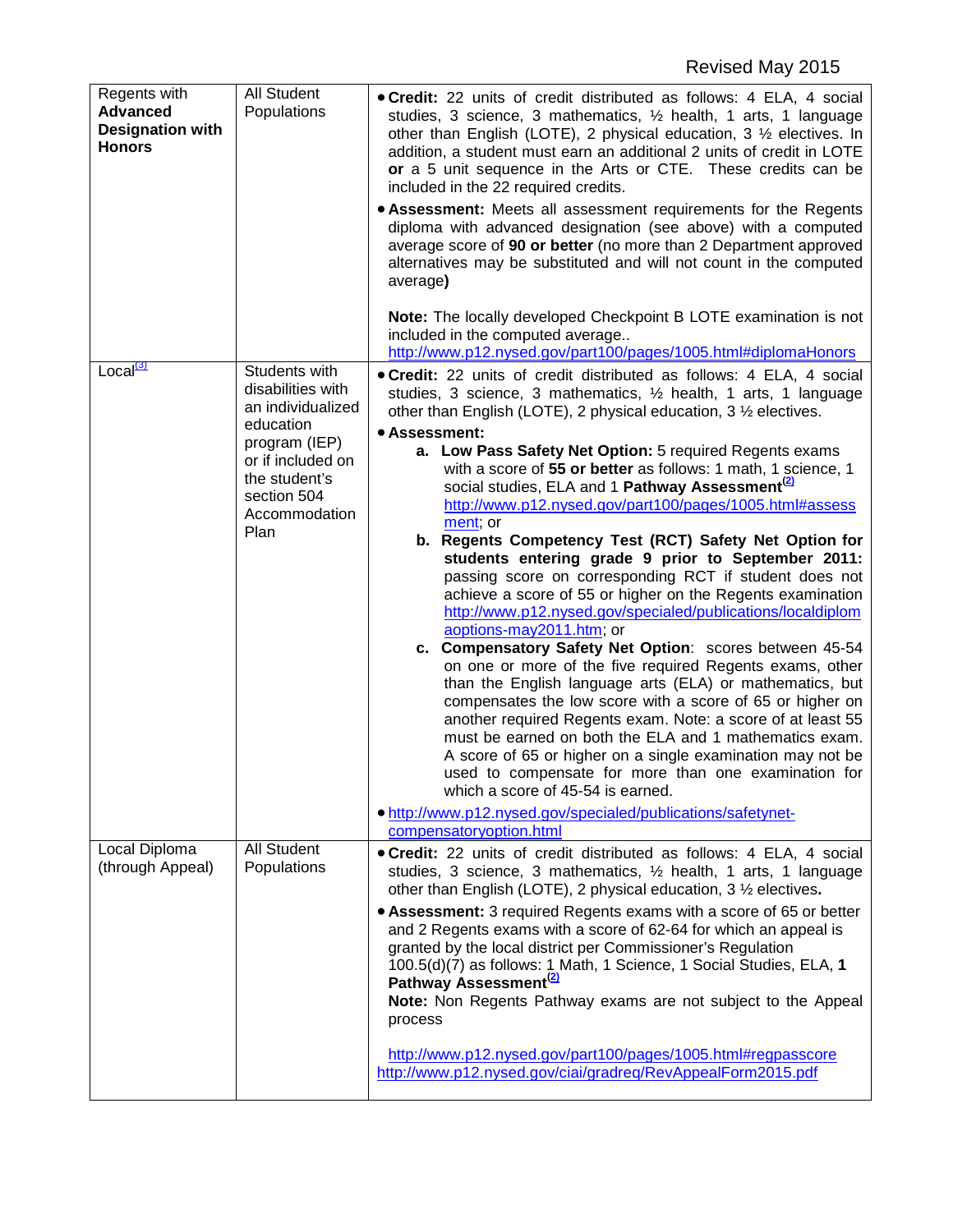| Regents with<br><b>Advanced</b><br><b>Designation with</b><br><b>Honors</b> | <b>All Student</b><br>Populations                                                                                                                                   | . Credit: 22 units of credit distributed as follows: 4 ELA, 4 social<br>studies, 3 science, 3 mathematics, 1/2 health, 1 arts, 1 language<br>other than English (LOTE), 2 physical education, $3\frac{1}{2}$ electives. In<br>addition, a student must earn an additional 2 units of credit in LOTE<br>or a 5 unit sequence in the Arts or CTE. These credits can be<br>included in the 22 required credits.<br>• Assessment: Meets all assessment requirements for the Regents<br>diploma with advanced designation (see above) with a computed<br>average score of 90 or better (no more than 2 Department approved<br>alternatives may be substituted and will not count in the computed<br>average)<br><b>Note:</b> The locally developed Checkpoint B LOTE examination is not<br>included in the computed average<br>http://www.p12.nysed.gov/part100/pages/1005.html#diplomaHonors                                                                                                                                                                                                                                                                                                                                                                                                                                                                                                                                                                            |
|-----------------------------------------------------------------------------|---------------------------------------------------------------------------------------------------------------------------------------------------------------------|---------------------------------------------------------------------------------------------------------------------------------------------------------------------------------------------------------------------------------------------------------------------------------------------------------------------------------------------------------------------------------------------------------------------------------------------------------------------------------------------------------------------------------------------------------------------------------------------------------------------------------------------------------------------------------------------------------------------------------------------------------------------------------------------------------------------------------------------------------------------------------------------------------------------------------------------------------------------------------------------------------------------------------------------------------------------------------------------------------------------------------------------------------------------------------------------------------------------------------------------------------------------------------------------------------------------------------------------------------------------------------------------------------------------------------------------------------------------|
| Local <sup>(3)</sup>                                                        | Students with<br>disabilities with<br>an individualized<br>education<br>program (IEP)<br>or if included on<br>the student's<br>section 504<br>Accommodation<br>Plan | • Credit: 22 units of credit distributed as follows: 4 ELA, 4 social<br>studies, 3 science, 3 mathematics, 1/2 health, 1 arts, 1 language<br>other than English (LOTE), 2 physical education, 3 1/2 electives.<br>• Assessment:<br>a. Low Pass Safety Net Option: 5 required Regents exams<br>with a score of 55 or better as follows: 1 math, 1 science, 1<br>social studies, ELA and 1 Pathway Assessment <sup>(2)</sup><br>http://www.p12.nysed.gov/part100/pages/1005.html#assess<br>ment; or<br>b. Regents Competency Test (RCT) Safety Net Option for<br>students entering grade 9 prior to September 2011:<br>passing score on corresponding RCT if student does not<br>achieve a score of 55 or higher on the Regents examination<br>http://www.p12.nysed.gov/specialed/publications/localdiplom<br>aoptions-may2011.htm; or<br>c. Compensatory Safety Net Option: scores between 45-54<br>on one or more of the five required Regents exams, other<br>than the English language arts (ELA) or mathematics, but<br>compensates the low score with a score of 65 or higher on<br>another required Regents exam. Note: a score of at least 55<br>must be earned on both the ELA and 1 mathematics exam.<br>A score of 65 or higher on a single examination may not be<br>used to compensate for more than one examination for<br>which a score of 45-54 is earned.<br>• http://www.p12.nysed.gov/specialed/publications/safetynet-<br>compensatoryoption.html |
| Local Diploma<br>(through Appeal)                                           | All Student<br>Populations                                                                                                                                          | . Credit: 22 units of credit distributed as follows: 4 ELA, 4 social<br>studies, 3 science, 3 mathematics, 1/2 health, 1 arts, 1 language<br>other than English (LOTE), 2 physical education, 3 1/2 electives.<br>• Assessment: 3 required Regents exams with a score of 65 or better<br>and 2 Regents exams with a score of 62-64 for which an appeal is<br>granted by the local district per Commissioner's Regulation<br>100.5(d)(7) as follows: 1 Math, 1 Science, 1 Social Studies, ELA, 1<br>Pathway Assessment <sup>(2)</sup><br>Note: Non Regents Pathway exams are not subject to the Appeal<br>process<br>http://www.p12.nysed.gov/part100/pages/1005.html#regpasscore<br>http://www.p12.nysed.gov/ciai/gradreq/RevAppealForm2015.pdf                                                                                                                                                                                                                                                                                                                                                                                                                                                                                                                                                                                                                                                                                                                     |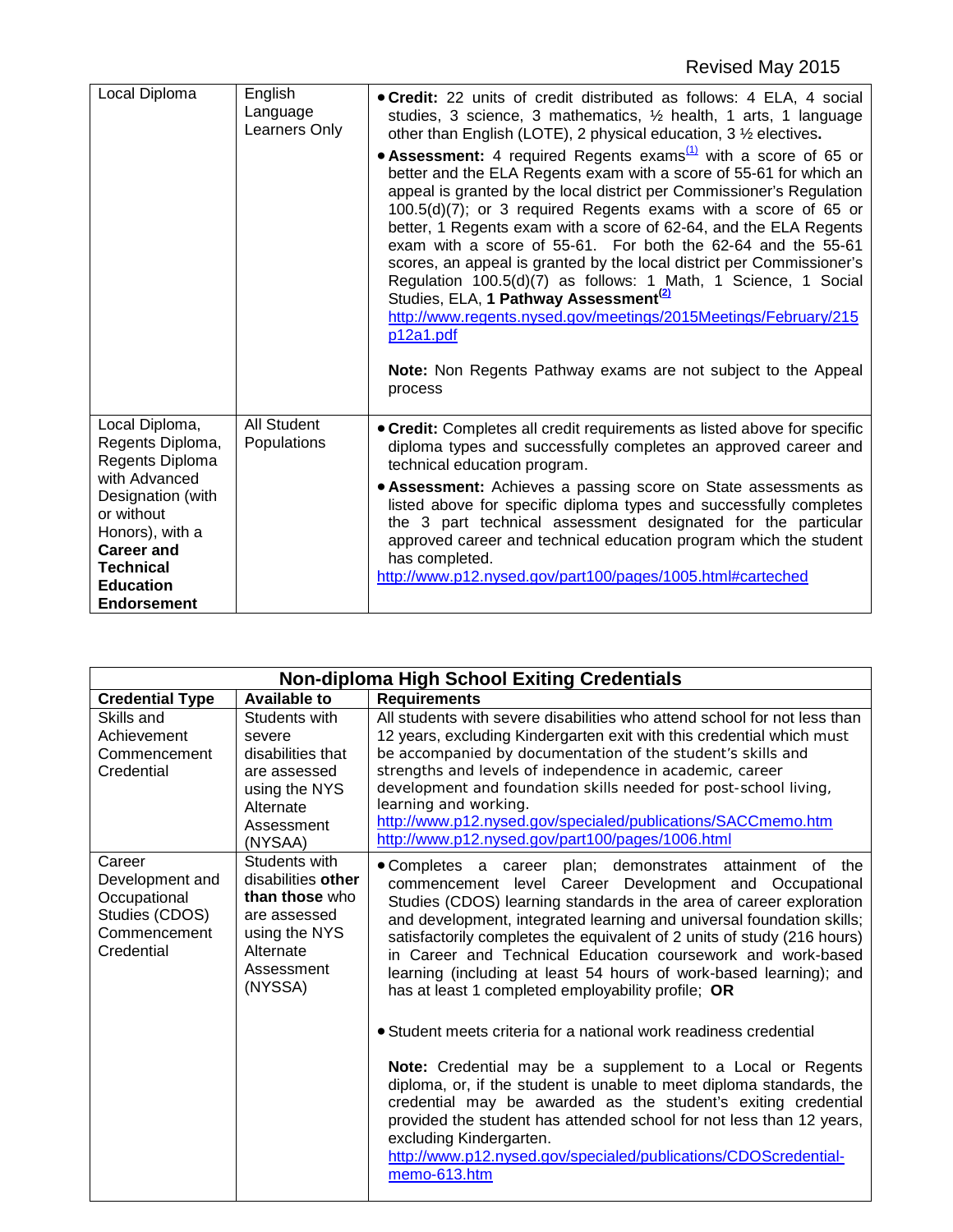| English                    | . Credit: 22 units of credit distributed as follows: 4 ELA, 4 social                                                                                                                                                                                                                                                                                                                                                                                                                                                                                                                                                                                                                                                                                                                                                                                                                                                                       |
|----------------------------|--------------------------------------------------------------------------------------------------------------------------------------------------------------------------------------------------------------------------------------------------------------------------------------------------------------------------------------------------------------------------------------------------------------------------------------------------------------------------------------------------------------------------------------------------------------------------------------------------------------------------------------------------------------------------------------------------------------------------------------------------------------------------------------------------------------------------------------------------------------------------------------------------------------------------------------------|
| Learners Only              | studies, 3 science, 3 mathematics, 1/2 health, 1 arts, 1 language<br>other than English (LOTE), 2 physical education, 3 1/2 electives.<br>• Assessment: 4 required Regents exams $\frac{(1)}{(1)}$ with a score of 65 or<br>better and the ELA Regents exam with a score of 55-61 for which an<br>appeal is granted by the local district per Commissioner's Regulation<br>100.5(d)(7); or 3 required Regents exams with a score of 65 or<br>better, 1 Regents exam with a score of 62-64, and the ELA Regents<br>exam with a score of 55-61. For both the 62-64 and the 55-61<br>scores, an appeal is granted by the local district per Commissioner's<br>Regulation 100.5(d)(7) as follows: 1 Math, 1 Science, 1 Social<br>Studies, ELA, 1 Pathway Assessment <sup>(2)</sup><br>http://www.regents.nysed.gov/meetings/2015Meetings/February/215<br>p12a1.pdf<br>Note: Non Regents Pathway exams are not subject to the Appeal<br>process |
| All Student<br>Populations | • Credit: Completes all credit requirements as listed above for specific<br>diploma types and successfully completes an approved career and<br>technical education program.<br>• Assessment: Achieves a passing score on State assessments as<br>listed above for specific diploma types and successfully completes<br>the 3 part technical assessment designated for the particular<br>approved career and technical education program which the student<br>has completed.<br>http://www.p12.nysed.gov/part100/pages/1005.html#carteched                                                                                                                                                                                                                                                                                                                                                                                                  |
|                            | Language                                                                                                                                                                                                                                                                                                                                                                                                                                                                                                                                                                                                                                                                                                                                                                                                                                                                                                                                   |

| <b>Non-diploma High School Exiting Credentials</b>                                        |                                                                                                                              |                                                                                                                                                                                                                                                                                                                                                                                                                                                                                                                                           |  |  |
|-------------------------------------------------------------------------------------------|------------------------------------------------------------------------------------------------------------------------------|-------------------------------------------------------------------------------------------------------------------------------------------------------------------------------------------------------------------------------------------------------------------------------------------------------------------------------------------------------------------------------------------------------------------------------------------------------------------------------------------------------------------------------------------|--|--|
| <b>Credential Type</b>                                                                    | <b>Available to</b>                                                                                                          | <b>Requirements</b>                                                                                                                                                                                                                                                                                                                                                                                                                                                                                                                       |  |  |
| Skills and<br>Achievement<br>Commencement<br>Credential                                   | Students with<br>severe<br>disabilities that<br>are assessed<br>using the NYS<br>Alternate<br>Assessment<br>(NYSAA)          | All students with severe disabilities who attend school for not less than<br>12 years, excluding Kindergarten exit with this credential which must<br>be accompanied by documentation of the student's skills and<br>strengths and levels of independence in academic, career<br>development and foundation skills needed for post-school living,<br>learning and working.<br>http://www.p12.nysed.gov/specialed/publications/SACCmemo.htm<br>http://www.p12.nysed.gov/part100/pages/1006.html                                            |  |  |
| Career<br>Development and<br>Occupational<br>Studies (CDOS)<br>Commencement<br>Credential | Students with<br>disabilities other<br>than those who<br>are assessed<br>using the NYS<br>Alternate<br>Assessment<br>(NYSSA) | • Completes a career plan; demonstrates attainment of the<br>commencement level Career Development and Occupational<br>Studies (CDOS) learning standards in the area of career exploration<br>and development, integrated learning and universal foundation skills;<br>satisfactorily completes the equivalent of 2 units of study (216 hours)<br>in Career and Technical Education coursework and work-based<br>learning (including at least 54 hours of work-based learning); and<br>has at least 1 completed employability profile; OR |  |  |
|                                                                                           |                                                                                                                              | • Student meets criteria for a national work readiness credential<br>Note: Credential may be a supplement to a Local or Regents<br>diploma, or, if the student is unable to meet diploma standards, the<br>credential may be awarded as the student's exiting credential<br>provided the student has attended school for not less than 12 years,<br>excluding Kindergarten.<br>http://www.p12.nysed.gov/specialed/publications/CDOScredential-<br>memo-613.htm                                                                            |  |  |